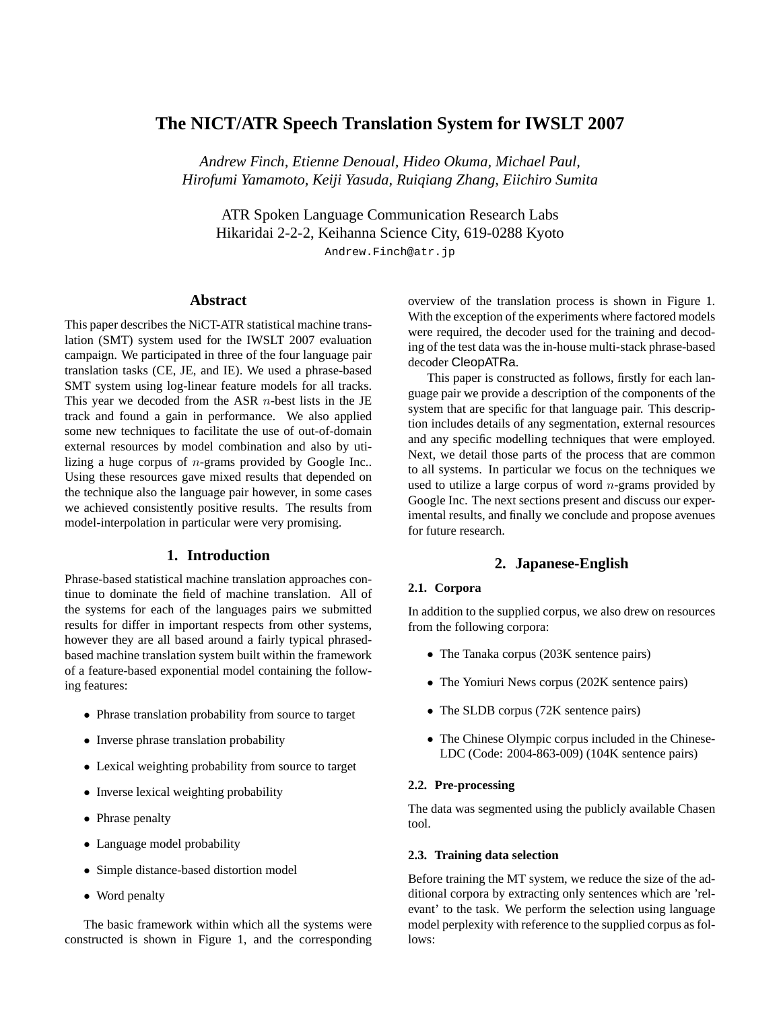# **The NICT/ATR Speech Translation System for IWSLT 2007**

*Andrew Finch, Etienne Denoual, Hideo Okuma, Michael Paul, Hirofumi Yamamoto, Keiji Yasuda, Ruiqiang Zhang, Eiichiro Sumita*

ATR Spoken Language Communication Research Labs Hikaridai 2-2-2, Keihanna Science City, 619-0288 Kyoto

Andrew.Finch@atr.jp

## **Abstract**

This paper describes the NiCT-ATR statistical machine translation (SMT) system used for the IWSLT 2007 evaluation campaign. We participated in three of the four language pair translation tasks (CE, JE, and IE). We used a phrase-based SMT system using log-linear feature models for all tracks. This year we decoded from the ASR  $n$ -best lists in the JE track and found a gain in performance. We also applied some new techniques to facilitate the use of out-of-domain external resources by model combination and also by utilizing a huge corpus of  $n$ -grams provided by Google Inc.. Using these resources gave mixed results that depended on the technique also the language pair however, in some cases we achieved consistently positive results. The results from model-interpolation in particular were very promising.

## **1. Introduction**

Phrase-based statistical machine translation approaches continue to dominate the field of machine translation. All of the systems for each of the languages pairs we submitted results for differ in important respects from other systems, however they are all based around a fairly typical phrasedbased machine translation system built within the framework of a feature-based exponential model containing the following features:

- Phrase translation probability from source to target
- Inverse phrase translation probability
- Lexical weighting probability from source to target
- Inverse lexical weighting probability
- Phrase penalty
- Language model probability
- Simple distance-based distortion model
- Word penalty

The basic framework within which all the systems were constructed is shown in Figure 1, and the corresponding

overview of the translation process is shown in Figure 1. With the exception of the experiments where factored models were required, the decoder used for the training and decoding of the test data was the in-house multi-stack phrase-based decoder CleopATRa.

This paper is constructed as follows, firstly for each language pair we provide a description of the components of the system that are specific for that language pair. This description includes details of any segmentation, external resources and any specific modelling techniques that were employed. Next, we detail those parts of the process that are common to all systems. In particular we focus on the techniques we used to utilize a large corpus of word  $n$ -grams provided by Google Inc. The next sections present and discuss our experimental results, and finally we conclude and propose avenues for future research.

## **2. Japanese-English**

## **2.1. Corpora**

In addition to the supplied corpus, we also drew on resources from the following corpora:

- The Tanaka corpus (203K sentence pairs)
- The Yomiuri News corpus (202K sentence pairs)
- The SLDB corpus (72K sentence pairs)
- The Chinese Olympic corpus included in the Chinese-LDC (Code: 2004-863-009) (104K sentence pairs)

## **2.2. Pre-processing**

The data was segmented using the publicly available Chasen tool.

### **2.3. Training data selection**

Before training the MT system, we reduce the size of the additional corpora by extracting only sentences which are 'relevant' to the task. We perform the selection using language model perplexity with reference to the supplied corpus as follows: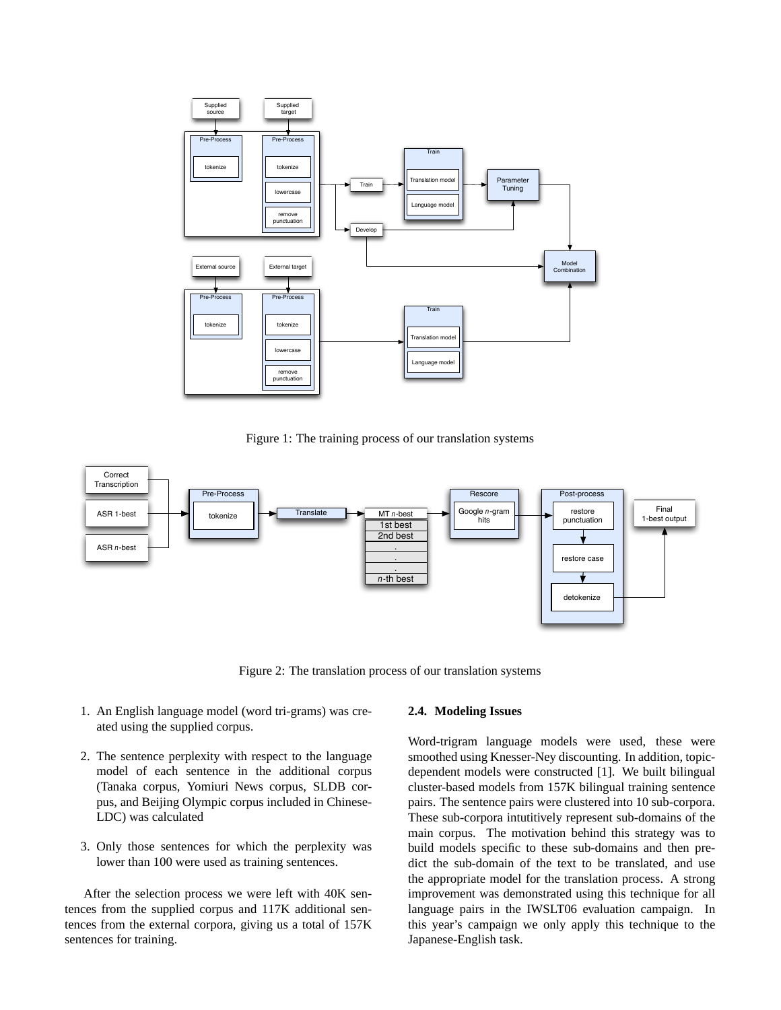

Figure 1: The training process of our translation systems



Figure 2: The translation process of our translation systems

- 1. An English language model (word tri-grams) was created using the supplied corpus.
- 2. The sentence perplexity with respect to the language model of each sentence in the additional corpus (Tanaka corpus, Yomiuri News corpus, SLDB corpus, and Beijing Olympic corpus included in Chinese-LDC) was calculated
- 3. Only those sentences for which the perplexity was lower than 100 were used as training sentences.

After the selection process we were left with 40K sentences from the supplied corpus and 117K additional sentences from the external corpora, giving us a total of 157K sentences for training.

### **2.4. Modeling Issues**

Word-trigram language models were used, these were smoothed using Knesser-Ney discounting. In addition, topicdependent models were constructed [1]. We built bilingual cluster-based models from 157K bilingual training sentence pairs. The sentence pairs were clustered into 10 sub-corpora. These sub-corpora intutitively represent sub-domains of the main corpus. The motivation behind this strategy was to build models specific to these sub-domains and then predict the sub-domain of the text to be translated, and use the appropriate model for the translation process. A strong improvement was demonstrated using this technique for all language pairs in the IWSLT06 evaluation campaign. In this year's campaign we only apply this technique to the Japanese-English task.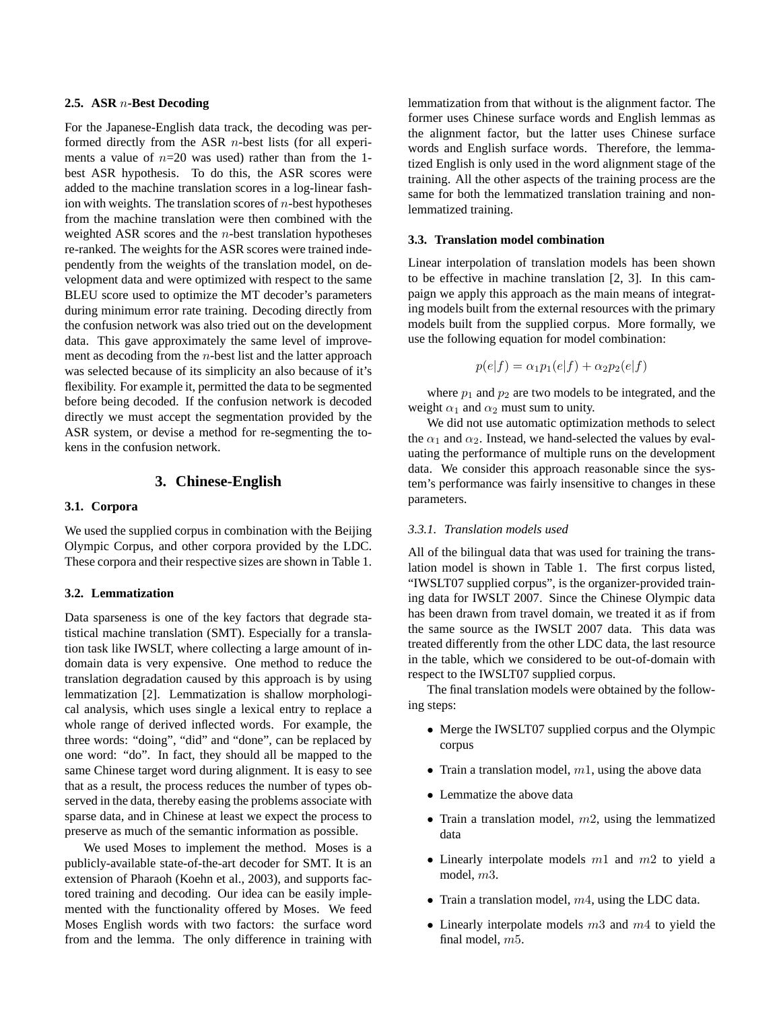## **2.5. ASR** n**-Best Decoding**

For the Japanese-English data track, the decoding was performed directly from the ASR  $n$ -best lists (for all experiments a value of  $n=20$  was used) rather than from the 1best ASR hypothesis. To do this, the ASR scores were added to the machine translation scores in a log-linear fashion with weights. The translation scores of  $n$ -best hypotheses from the machine translation were then combined with the weighted ASR scores and the n-best translation hypotheses re-ranked. The weights for the ASR scores were trained independently from the weights of the translation model, on development data and were optimized with respect to the same BLEU score used to optimize the MT decoder's parameters during minimum error rate training. Decoding directly from the confusion network was also tried out on the development data. This gave approximately the same level of improvement as decoding from the  $n$ -best list and the latter approach was selected because of its simplicity an also because of it's flexibility. For example it, permitted the data to be segmented before being decoded. If the confusion network is decoded directly we must accept the segmentation provided by the ASR system, or devise a method for re-segmenting the tokens in the confusion network.

## **3. Chinese-English**

### **3.1. Corpora**

We used the supplied corpus in combination with the Beijing Olympic Corpus, and other corpora provided by the LDC. These corpora and their respective sizes are shown in Table 1.

## **3.2. Lemmatization**

Data sparseness is one of the key factors that degrade statistical machine translation (SMT). Especially for a translation task like IWSLT, where collecting a large amount of indomain data is very expensive. One method to reduce the translation degradation caused by this approach is by using lemmatization [2]. Lemmatization is shallow morphological analysis, which uses single a lexical entry to replace a whole range of derived inflected words. For example, the three words: "doing", "did" and "done", can be replaced by one word: "do". In fact, they should all be mapped to the same Chinese target word during alignment. It is easy to see that as a result, the process reduces the number of types observed in the data, thereby easing the problems associate with sparse data, and in Chinese at least we expect the process to preserve as much of the semantic information as possible.

We used Moses to implement the method. Moses is a publicly-available state-of-the-art decoder for SMT. It is an extension of Pharaoh (Koehn et al., 2003), and supports factored training and decoding. Our idea can be easily implemented with the functionality offered by Moses. We feed Moses English words with two factors: the surface word from and the lemma. The only difference in training with

lemmatization from that without is the alignment factor. The former uses Chinese surface words and English lemmas as the alignment factor, but the latter uses Chinese surface words and English surface words. Therefore, the lemmatized English is only used in the word alignment stage of the training. All the other aspects of the training process are the same for both the lemmatized translation training and nonlemmatized training.

#### **3.3. Translation model combination**

Linear interpolation of translation models has been shown to be effective in machine translation [2, 3]. In this campaign we apply this approach as the main means of integrating models built from the external resources with the primary models built from the supplied corpus. More formally, we use the following equation for model combination:

$$
p(e|f) = \alpha_1 p_1(e|f) + \alpha_2 p_2(e|f)
$$

where  $p_1$  and  $p_2$  are two models to be integrated, and the weight  $\alpha_1$  and  $\alpha_2$  must sum to unity.

We did not use automatic optimization methods to select the  $\alpha_1$  and  $\alpha_2$ . Instead, we hand-selected the values by evaluating the performance of multiple runs on the development data. We consider this approach reasonable since the system's performance was fairly insensitive to changes in these parameters.

#### *3.3.1. Translation models used*

All of the bilingual data that was used for training the translation model is shown in Table 1. The first corpus listed, "IWSLT07 supplied corpus", is the organizer-provided training data for IWSLT 2007. Since the Chinese Olympic data has been drawn from travel domain, we treated it as if from the same source as the IWSLT 2007 data. This data was treated differently from the other LDC data, the last resource in the table, which we considered to be out-of-domain with respect to the IWSLT07 supplied corpus.

The final translation models were obtained by the following steps:

- Merge the IWSLT07 supplied corpus and the Olympic corpus
- Train a translation model,  $m1$ , using the above data
- Lemmatize the above data
- Train a translation model,  $m2$ , using the lemmatized data
- Linearly interpolate models  $m1$  and  $m2$  to yield a model, m3.
- Train a translation model,  $m4$ , using the LDC data.
- Linearly interpolate models  $m3$  and  $m4$  to yield the final model,  $m5$ .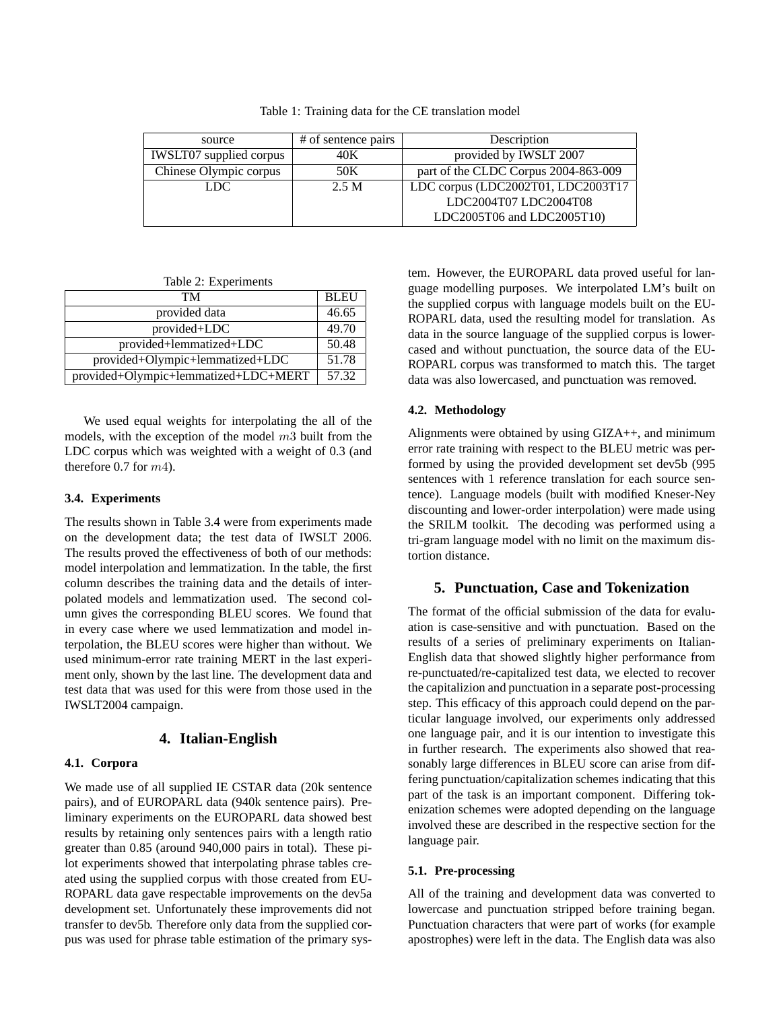Table 1: Training data for the CE translation model

| source                         | # of sentence pairs | Description                          |  |
|--------------------------------|---------------------|--------------------------------------|--|
| <b>IWSLT07</b> supplied corpus | 40K                 | provided by IWSLT 2007               |  |
| Chinese Olympic corpus         | 50K                 | part of the CLDC Corpus 2004-863-009 |  |
| 2.5 M<br>LDC.                  |                     | LDC corpus (LDC2002T01, LDC2003T17   |  |
|                                |                     | LDC2004T07 LDC2004T08                |  |
|                                |                     | LDC2005T06 and LDC2005T10)           |  |

Table 2: Experiments

| TМ                                   | <b>BLEU</b> |
|--------------------------------------|-------------|
| provided data                        | 46.65       |
| provided+LDC                         | 49.70       |
| provided+lemmatized+LDC              | 50.48       |
| provided+Olympic+lemmatized+LDC      | 51.78       |
| provided+Olympic+lemmatized+LDC+MERT | 57.32       |

We used equal weights for interpolating the all of the models, with the exception of the model  $m3$  built from the LDC corpus which was weighted with a weight of 0.3 (and therefore 0.7 for m4).

## **3.4. Experiments**

The results shown in Table 3.4 were from experiments made on the development data; the test data of IWSLT 2006. The results proved the effectiveness of both of our methods: model interpolation and lemmatization. In the table, the first column describes the training data and the details of interpolated models and lemmatization used. The second column gives the corresponding BLEU scores. We found that in every case where we used lemmatization and model interpolation, the BLEU scores were higher than without. We used minimum-error rate training MERT in the last experiment only, shown by the last line. The development data and test data that was used for this were from those used in the IWSLT2004 campaign.

## **4. Italian-English**

## **4.1. Corpora**

We made use of all supplied IE CSTAR data (20k sentence) pairs), and of EUROPARL data (940k sentence pairs). Preliminary experiments on the EUROPARL data showed best results by retaining only sentences pairs with a length ratio greater than 0.85 (around 940,000 pairs in total). These pilot experiments showed that interpolating phrase tables created using the supplied corpus with those created from EU-ROPARL data gave respectable improvements on the dev5a development set. Unfortunately these improvements did not transfer to dev5b. Therefore only data from the supplied corpus was used for phrase table estimation of the primary system. However, the EUROPARL data proved useful for language modelling purposes. We interpolated LM's built on the supplied corpus with language models built on the EU-ROPARL data, used the resulting model for translation. As data in the source language of the supplied corpus is lowercased and without punctuation, the source data of the EU-ROPARL corpus was transformed to match this. The target data was also lowercased, and punctuation was removed.

## **4.2. Methodology**

Alignments were obtained by using GIZA++, and minimum error rate training with respect to the BLEU metric was performed by using the provided development set dev5b (995 sentences with 1 reference translation for each source sentence). Language models (built with modified Kneser-Ney discounting and lower-order interpolation) were made using the SRILM toolkit. The decoding was performed using a tri-gram language model with no limit on the maximum distortion distance.

## **5. Punctuation, Case and Tokenization**

The format of the official submission of the data for evaluation is case-sensitive and with punctuation. Based on the results of a series of preliminary experiments on Italian-English data that showed slightly higher performance from re-punctuated/re-capitalized test data, we elected to recover the capitalizion and punctuation in a separate post-processing step. This efficacy of this approach could depend on the particular language involved, our experiments only addressed one language pair, and it is our intention to investigate this in further research. The experiments also showed that reasonably large differences in BLEU score can arise from differing punctuation/capitalization schemes indicating that this part of the task is an important component. Differing tokenization schemes were adopted depending on the language involved these are described in the respective section for the language pair.

## **5.1. Pre-processing**

All of the training and development data was converted to lowercase and punctuation stripped before training began. Punctuation characters that were part of works (for example apostrophes) were left in the data. The English data was also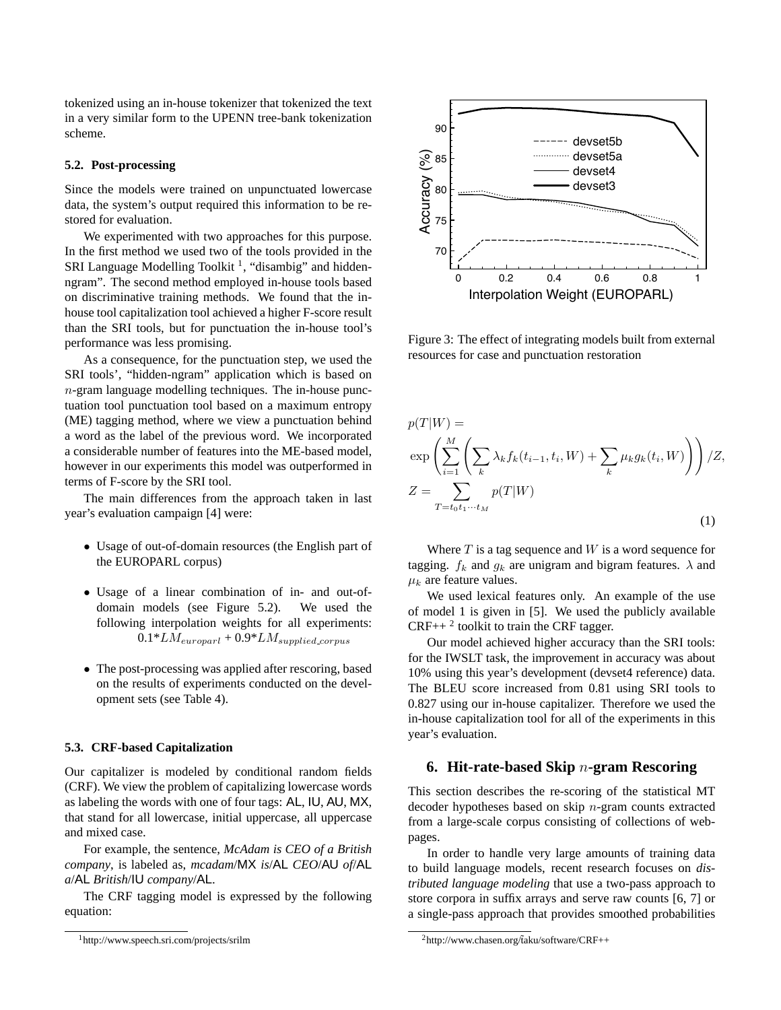tokenized using an in-house tokenizer that tokenized the text in a very similar form to the UPENN tree-bank tokenization scheme.

## **5.2. Post-processing**

Since the models were trained on unpunctuated lowercase data, the system's output required this information to be restored for evaluation.

We experimented with two approaches for this purpose. In the first method we used two of the tools provided in the SRI Language Modelling Toolkit<sup>1</sup>, "disambig" and hiddenngram". The second method employed in-house tools based on discriminative training methods. We found that the inhouse tool capitalization tool achieved a higher F-score result than the SRI tools, but for punctuation the in-house tool's performance was less promising.

As a consequence, for the punctuation step, we used the SRI tools', "hidden-ngram" application which is based on  $n$ -gram language modelling techniques. The in-house punctuation tool punctuation tool based on a maximum entropy (ME) tagging method, where we view a punctuation behind a word as the label of the previous word. We incorporated a considerable number of features into the ME-based model, however in our experiments this model was outperformed in terms of F-score by the SRI tool. 176 where you the find a emphasion in this separate sink based in the second of the second of the second of the second of the second of the second of the second of the second of the second of the second of the second of t

The main differences from the approach taken in last year's evaluation campaign [4] were:

- Usage of out-of-domain resources (the English part of the EUROPARL corpus)
- Usage of a linear combination of in- and out-ofdomain models (see Figure 5.2). We used the following interpolation weights for all experiments:  $0.1*LM_{\text{curoparl}} + 0.9*LM_{\text{supplied\_corpus}}$
- The post-processing was applied after rescoring, based on the results of experiments conducted on the development sets (see Table 4).

## **5.3. CRF-based Capitalization**

Our capitalizer is modeled by conditional random fields (CRF). We view the problem of capitalizing lowercase words as labeling the words with one of four tags: AL, IU, AU, MX, that stand for all lowercase, initial uppercase, all uppercase and mixed case.

For example, the sentence, *McAdam is CEO of a British company*, is labeled as, *mcadam*/MX *is*/AL *CEO*/AU *of*/AL *a*/AL *British*/IU *company*/AL.

The CRF tagging model is expressed by the following equation:



Figure 3: The effect of integrating models built from external resources for case and punctuation restoration

$$
p(T|W) = \exp\left(\sum_{i=1}^{M} \left(\sum_{k} \lambda_k f_k(t_{i-1}, t_i, W) + \sum_{k} \mu_k g_k(t_i, W)\right)\right) / Z,
$$
  
\n
$$
Z = \sum_{T = t_0 t_1 \cdots t_M} p(T|W)
$$
\n(1)

Where  $T$  is a tag sequence and  $W$  is a word sequence for tagging.  $f_k$  and  $g_k$  are unigram and bigram features.  $\lambda$  and  $\mu_k$  are feature values.

We used lexical features only. An example of the use of model 1 is given in [5]. We used the publicly available  $CRF++<sup>2</sup>$  toolkit to train the CRF tagger.

Our model achieved higher accuracy than the SRI tools: for the IWSLT task, the improvement in accuracy was about 10% using this year's development (devset4 reference) data. The BLEU score increased from 0.81 using SRI tools to 0.827 using our in-house capitalizer. Therefore we used the in-house capitalization tool for all of the experiments in this year's evaluation.

## **6. Hit-rate-based Skip** n**-gram Rescoring**

This section describes the re-scoring of the statistical MT decoder hypotheses based on skip  $n$ -gram counts extracted from a large-scale corpus consisting of collections of webpages.

In order to handle very large amounts of training data to build language models, recent research focuses on *distributed language modeling* that use a two-pass approach to store corpora in suffix arrays and serve raw counts [6, 7] or a single-pass approach that provides smoothed probabilities

<sup>&</sup>lt;sup>2</sup>http://www.chasen.org/taku/software/CRF++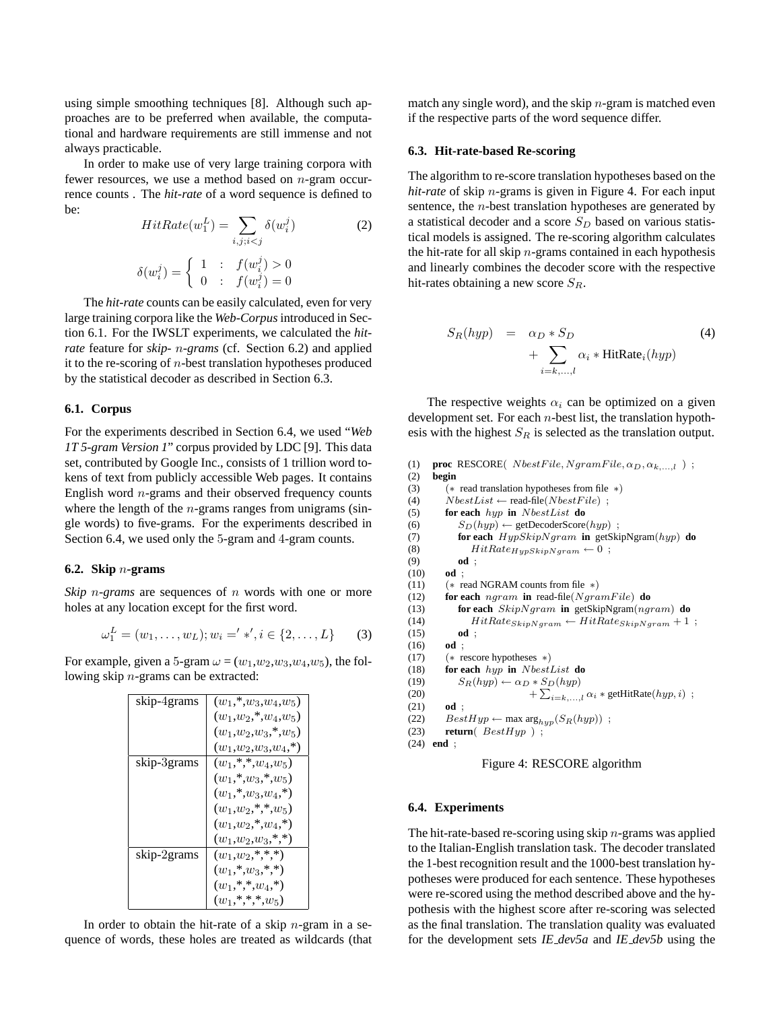using simple smoothing techniques [8]. Although such approaches are to be preferred when available, the computational and hardware requirements are still immense and not always practicable.

In order to make use of very large training corpora with fewer resources, we use a method based on n-gram occurrence counts . The *hit-rate* of a word sequence is defined to be:

$$
HitRate(w_1^L) = \sum_{i,j;i(2)  

$$
\delta(w_i^j) = \begin{cases} 1 & \text{: } f(w_i^j) > 0 \\ 0 & \text{: } f(w_i^j) = 0 \end{cases}
$$
$$

The *hit-rate* counts can be easily calculated, even for very large training corpora like the *Web-Corpus*introduced in Section 6.1. For the IWSLT experiments, we calculated the *hitrate* feature for *skip-* n*-grams* (cf. Section 6.2) and applied it to the re-scoring of  $n$ -best translation hypotheses produced by the statistical decoder as described in Section 6.3.

#### **6.1. Corpus**

For the experiments described in Section 6.4, we used "*Web 1T 5-gram Version 1*" corpus provided by LDC [9]. This data set, contributed by Google Inc., consists of 1 trillion word tokens of text from publicly accessible Web pages. It contains English word  $n$ -grams and their observed frequency counts where the length of the  $n$ -grams ranges from unigrams (single words) to five-grams. For the experiments described in Section 6.4, we used only the 5-gram and 4-gram counts.

### **6.2. Skip** n**-grams**

*Skip n*-grams are sequences of *n* words with one or more holes at any location except for the first word.

$$
\omega_1^L = (w_1, \dots, w_L); w_i = ' \ast', i \in \{2, \dots, L\}
$$
 (3)

For example, given a 5-gram  $\omega = (w_1, w_2, w_3, w_4, w_5)$ , the following skip n-grams can be extracted:

| skip-4grams | $(w_1, * , w_3, w_4, w_5)$     |
|-------------|--------------------------------|
|             | $(w_1, w_2, \ast, w_4, w_5)$   |
|             | $(w_1,w_2,w_3,*,w_5)$          |
|             | $(w_1,w_2,w_3,w_4,*)$          |
| skip-3grams | $(w_1,*,*,w_4,w_5)$            |
|             | $(w_1, \ast, w_3, \ast, w_5)$  |
|             | $(w_1, w_3, w_4, w_5)$         |
|             | $(w_1, w_2, \ast, \ast, w_5)$  |
|             | $(w_1, w_2, \ast, w_4, \ast)$  |
|             | $(w_1, w_2, w_3, \ast, \ast)$  |
| skip-2grams | $(w_1, w_2, \ast, \ast, \ast)$ |
|             | $(w_1,*,w_3,*,*)$              |
|             | $(w_1,*,*,w_4,*)$              |
|             | $(w_1,*,*,*,w_5)$              |

In order to obtain the hit-rate of a skip  $n$ -gram in a sequence of words, these holes are treated as wildcards (that match any single word), and the skip  $n$ -gram is matched even if the respective parts of the word sequence differ.

#### **6.3. Hit-rate-based Re-scoring**

The algorithm to re-score translation hypotheses based on the *hit-rate* of skip n-grams is given in Figure 4. For each input sentence, the *n*-best translation hypotheses are generated by a statistical decoder and a score  $S_D$  based on various statistical models is assigned. The re-scoring algorithm calculates the hit-rate for all skip  $n$ -grams contained in each hypothesis and linearly combines the decoder score with the respective hit-rates obtaining a new score  $S_R$ .

$$
S_R(hyp) = \alpha_D * S_D
$$
  
+ 
$$
\sum_{i=k,...,l} \alpha_i * \text{HitRate}_i(hyp)
$$
 (4)

The respective weights  $\alpha_i$  can be optimized on a given development set. For each  $n$ -best list, the translation hypothesis with the highest  $S_R$  is selected as the translation output.

```
(1) proc RESCORE( NbestFile, NgramFile, \alpha_D, \alpha_{k,...,l} ) ;
(2) begin
(3) (∗ read translation hypotheses from file ∗)
(4) NbestList \leftarrow read-file(NbestFile);
(5) for each hyp in NbestList do
(6) S_D(hyp) \leftarrow \text{getDecoderScore}(hyp);
(7) for each HypSkipN gram in getSkipNgram(hyp) do
(8) HitRate_{HypSkyp}<sub>gram</sub> \leftarrow 0;<br>(9) od;
           (9) od ;
(10) od ;
(11) (* \text{ read NGRAM counts from file } *)(12) for each ngram in read-file(NgramFile) do
(13) for each SkipNgram in getSkipNgram(ngram) do
(14) HitRate_{skipNgram} \leftarrow HitRate_{skipNgram} + 1;<br>(15) od;
           (15) od ;
(16) od ;
(17) (∗ rescore hypotheses ∗)
(18) for each hyp in NbestList do
(19) S_R(hyp) \leftarrow \alpha_D * S_D(hyp)(20)\sum_{i=k,\dots,l} \alpha_i * \text{getHitRate}(hyp, i);
(21) od ;
(22) BestHyp \leftarrow \max \arg_{hyp}(S_R(hyp));
(23) return(BestHyp);
(24) end ;
```


#### **6.4. Experiments**

The hit-rate-based re-scoring using skip  $n$ -grams was applied to the Italian-English translation task. The decoder translated the 1-best recognition result and the 1000-best translation hypotheses were produced for each sentence. These hypotheses were re-scored using the method described above and the hypothesis with the highest score after re-scoring was selected as the final translation. The translation quality was evaluated for the development sets *IE dev5a* and *IE dev5b* using the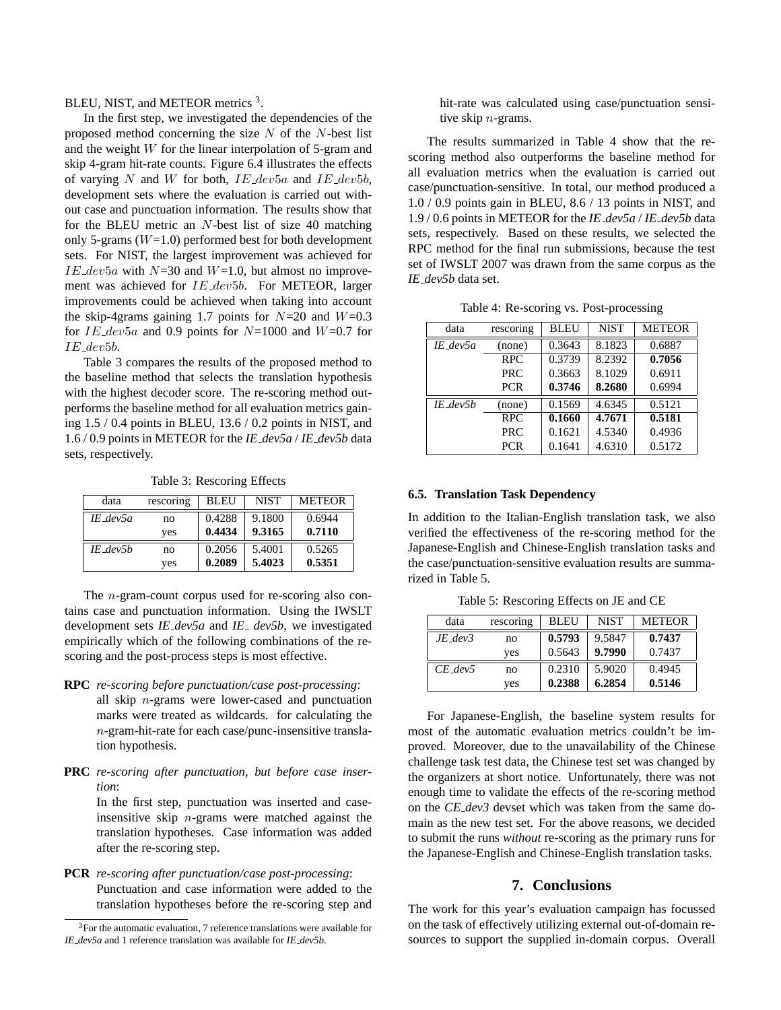BLEU, NIST, and METEOR metrics<sup>3</sup>.

In the first step, we investigated the dependencies of the proposed method concerning the size  $N$  of the  $N$ -best list and the weight  $W$  for the linear interpolation of 5-gram and skip 4-gram hit-rate counts. Figure 6.4 illustrates the effects of varying  $N$  and  $W$  for both,  $IE\_dev5a$  and  $IE\_dev5b$ , development sets where the evaluation is carried out without case and punctuation information. The results show that for the BLEU metric an N-best list of size 40 matching only 5-grams  $(W=1.0)$  performed best for both development sets. For NIST, the largest improvement was achieved for IE\_dev5a with  $N=30$  and  $W=1.0$ , but almost no improvement was achieved for IE\_dev5b. For METEOR, larger improvements could be achieved when taking into account the skip-4grams gaining 1.7 points for  $N=20$  and  $W=0.3$ for  $IE\_dev5a$  and 0.9 points for  $N=1000$  and  $W=0.7$  for IE dev5b.

Table 3 compares the results of the proposed method to the baseline method that selects the translation hypothesis with the highest decoder score. The re-scoring method outperforms the baseline method for all evaluation metrics gaining 1.5 / 0.4 points in BLEU, 13.6 / 0.2 points in NIST, and 1.6 / 0.9 points in METEOR for the *IE dev5a* / *IE dev5b* data sets, respectively.

Table 3: Rescoring Effects

| data       | rescoring | <b>BLEU</b> | <b>NIST</b> | <b>METEOR</b> |
|------------|-----------|-------------|-------------|---------------|
| IE dev5a   | no        | 0.4288      | 9.1800      | 0.6944        |
|            | ves       | 0.4434      | 9.3165      | 0.7110        |
| $IE$ dev5b | no        | 0.2056      | 5.4001      | 0.5265        |
|            | ves       | 0.2089      | 5.4023      | 0.5351        |

The n-gram-count corpus used for re-scoring also contains case and punctuation information. Using the IWSLT development sets *IE dev5a* and *IE dev5b*, we investigated empirically which of the following combinations of the rescoring and the post-process steps is most effective.

- **RPC** *re-scoring before punctuation/case post-processing*: all skip n-grams were lower-cased and punctuation marks were treated as wildcards. for calculating the n-gram-hit-rate for each case/punc-insensitive translation hypothesis.
- **PRC** *re-scoring after punctuation, but before case insertion*:

In the first step, punctuation was inserted and caseinsensitive skip  $n$ -grams were matched against the translation hypotheses. Case information was added after the re-scoring step.

**PCR** *re-scoring after punctuation/case post-processing*: Punctuation and case information were added to the translation hypotheses before the re-scoring step and

hit-rate was calculated using case/punctuation sensitive skip  $n$ -grams.

The results summarized in Table 4 show that the rescoring method also outperforms the baseline method for all evaluation metrics when the evaluation is carried out case/punctuation-sensitive. In total, our method produced a 1.0 / 0.9 points gain in BLEU, 8.6 / 13 points in NIST, and 1.9 / 0.6 points in METEOR for the *IE dev5a* / *IE dev5b* data sets, respectively. Based on these results, we selected the RPC method for the final run submissions, because the test set of IWSLT 2007 was drawn from the same corpus as the *IE dev5b* data set.

Table 4: Re-scoring vs. Post-processing

| data          | rescoring  | <b>BLEU</b> | <b>NIST</b> | <b>METEOR</b> |
|---------------|------------|-------------|-------------|---------------|
| $IE$ dev $5a$ | (none)     | 0.3643      | 8.1823      | 0.6887        |
|               | <b>RPC</b> | 0.3739      | 8.2392      | 0.7056        |
|               | PRC.       | 0.3663      | 8.1029      | 0.6911        |
|               | <b>PCR</b> | 0.3746      | 8.2680      | 0.6994        |
| $IE$ dev5b    | (none)     | 0.1569      | 4.6345      | 0.5121        |
|               | <b>RPC</b> | 0.1660      | 4.7671      | 0.5181        |
|               | <b>PRC</b> | 0.1621      | 4.5340      | 0.4936        |
|               | <b>PCR</b> | 0.1641      | 4.6310      | 0.5172        |

#### **6.5. Translation Task Dependency**

In addition to the Italian-English translation task, we also verified the effectiveness of the re-scoring method for the Japanese-English and Chinese-English translation tasks and the case/punctuation-sensitive evaluation results are summarized in Table 5.

Table 5: Rescoring Effects on JE and CE

| data         | rescoring | <b>BLEU</b> | <b>NIST</b> | <b>METEOR</b> |
|--------------|-----------|-------------|-------------|---------------|
| $JE$ dev $3$ | no        | 0.5793      | 9.5847      | 0.7437        |
|              | ves       | 0.5643      | 9.7990      | 0.7437        |
| $CE$ dev5    | no        | 0.2310      | 5.9020      | 0.4945        |
|              | yes       | 0.2388      | 6.2854      | 0.5146        |

For Japanese-English, the baseline system results for most of the automatic evaluation metrics couldn't be improved. Moreover, due to the unavailability of the Chinese challenge task test data, the Chinese test set was changed by the organizers at short notice. Unfortunately, there was not enough time to validate the effects of the re-scoring method on the *CE dev3* devset which was taken from the same domain as the new test set. For the above reasons, we decided to submit the runs *without* re-scoring as the primary runs for the Japanese-English and Chinese-English translation tasks.

### **7. Conclusions**

The work for this year's evaluation campaign has focussed on the task of effectively utilizing external out-of-domain resources to support the supplied in-domain corpus. Overall

<sup>3</sup>For the automatic evaluation, 7 reference translations were available for *IE dev5a* and 1 reference translation was available for *IE dev5b*.